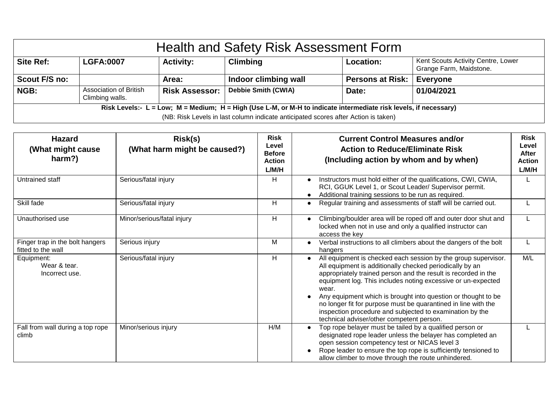| <b>Health and Safety Risk Assessment Form</b>                                                                    |                                                  |                       |                            |                         |                                                               |  |
|------------------------------------------------------------------------------------------------------------------|--------------------------------------------------|-----------------------|----------------------------|-------------------------|---------------------------------------------------------------|--|
| <b>Site Ref:</b>                                                                                                 | <b>LGFA:0007</b>                                 | <b>Activity:</b>      | <b>Climbing</b>            | Location:               | Kent Scouts Activity Centre, Lower<br>Grange Farm, Maidstone. |  |
| Scout F/S no:                                                                                                    |                                                  | Area:                 | Indoor climbing wall       | <b>Persons at Risk:</b> | <b>Everyone</b>                                               |  |
| NGB:                                                                                                             | <b>Association of British</b><br>Climbing walls. | <b>Risk Assessor:</b> | <b>Debbie Smith (CWIA)</b> | Date:                   | 01/04/2021                                                    |  |
| Risk Levels:- L = Low; M = Medium; H = High (Use L-M, or M-H to indicate intermediate risk levels, if necessary) |                                                  |                       |                            |                         |                                                               |  |
| (NB: Risk Levels in last column indicate anticipated scores after Action is taken)                               |                                                  |                       |                            |                         |                                                               |  |

| <b>Hazard</b><br>(What might cause)<br>harm?)         | Risk(s)<br>(What harm might be caused?) | <b>Risk</b><br>Level<br><b>Before</b><br><b>Action</b><br>L/M/H | <b>Current Control Measures and/or</b><br><b>Action to Reduce/Eliminate Risk</b><br>(Including action by whom and by when)                                                                                                                                                                                                                                                                                                                                                                                        | <b>Risk</b><br>Level<br>After<br><b>Action</b><br>L/M/H |
|-------------------------------------------------------|-----------------------------------------|-----------------------------------------------------------------|-------------------------------------------------------------------------------------------------------------------------------------------------------------------------------------------------------------------------------------------------------------------------------------------------------------------------------------------------------------------------------------------------------------------------------------------------------------------------------------------------------------------|---------------------------------------------------------|
| Untrained staff                                       | Serious/fatal injury                    | H                                                               | Instructors must hold either of the qualifications, CWI, CWIA,<br>RCI, GGUK Level 1, or Scout Leader/ Supervisor permit.<br>Additional training sessions to be run as required.                                                                                                                                                                                                                                                                                                                                   |                                                         |
| Skill fade                                            | Serious/fatal injury                    | H                                                               | Regular training and assessments of staff will be carried out.                                                                                                                                                                                                                                                                                                                                                                                                                                                    |                                                         |
| Unauthorised use                                      | Minor/serious/fatal injury              | H                                                               | Climbing/boulder area will be roped off and outer door shut and<br>locked when not in use and only a qualified instructor can<br>access the key                                                                                                                                                                                                                                                                                                                                                                   |                                                         |
| Finger trap in the bolt hangers<br>fitted to the wall | Serious injury                          | м                                                               | Verbal instructions to all climbers about the dangers of the bolt<br>$\bullet$<br>hangers                                                                                                                                                                                                                                                                                                                                                                                                                         |                                                         |
| Equipment:<br>Wear & tear.<br>Incorrect use.          | Serious/fatal injury                    | H                                                               | All equipment is checked each session by the group supervisor.<br>All equipment is additionally checked periodically by an<br>appropriately trained person and the result is recorded in the<br>equipment log. This includes noting excessive or un-expected<br>wear.<br>Any equipment which is brought into question or thought to be<br>no longer fit for purpose must be quarantined in line with the<br>inspection procedure and subjected to examination by the<br>technical adviser/other competent person. | M/L                                                     |
| Fall from wall during a top rope<br>climb             | Minor/serious injury                    | H/M                                                             | Top rope belayer must be tailed by a qualified person or<br>designated rope leader unless the belayer has completed an<br>open session competency test or NICAS level 3<br>Rope leader to ensure the top rope is sufficiently tensioned to<br>allow climber to move through the route unhindered.                                                                                                                                                                                                                 |                                                         |